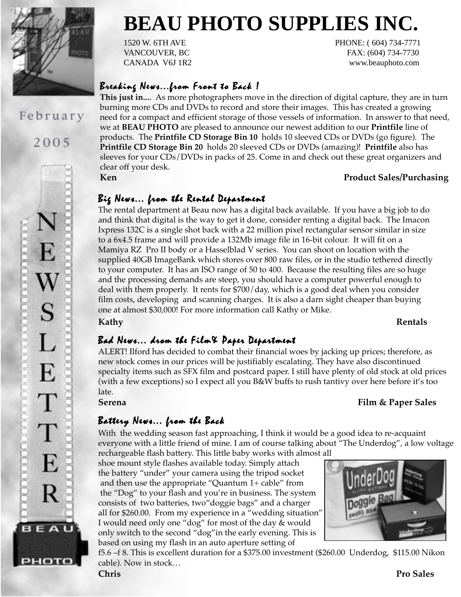

#### February

2005



# **BEAU PHOTO SUPPLIES INC.**

1520 W. 6TH AVE PHONE: (604) 734-7771 VANCOUVER, BC FAX: (604) 734-7730 CANADA V6J 1R2 www.beauphoto.com

### Breaking News...from Front to Back !

**This just in....** As more photographers move in the direction of digital capture, they are in turn burning more CDs and DVDs to record and store their images. This has created a growing need for a compact and efficient storage of those vessels of information. In answer to that need, we at **BEAU PHOTO** are pleased to announce our newest addition to our **Printfile** line of products. The **Printfile CD Storage Bin 10** holds 10 sleeved CDs or DVDs (go figure). The **Printfile CD Storage Bin 20** holds 20 sleeved CDs or DVDs (amazing)! **Printfile** also has sleeves for your CDs/DVDs in packs of 25. Come in and check out these great organizers and clear off your desk.

#### **Ken Product Sales/Purchasing**

#### Big News... from the Rental Department

The rental department at Beau now has a digital back available. If you have a big job to do and think that digital is the way to get it done, consider renting a digital back. The Imacon Ixpress 132C is a single shot back with a 22 million pixel rectangular sensor similar in size to a 6x4.5 frame and will provide a 132Mb image file in 16-bit colour. It will fit on a Mamiya RZ Pro II body or a Hasselblad V series. You can shoot on location with the supplied 40GB ImageBank which stores over 800 raw files, or in the studio tethered directly to your computer. It has an ISO range of 50 to 400. Because the resulting files are so huge and the processing demands are steep, you should have a computer powerful enough to deal with them properly. It rents for \$700/day, which is a good deal when you consider film costs, developing and scanning charges. It is also a darn sight cheaper than buying one at almost \$30,000! For more information call Kathy or Mike.

#### **Kathy Rentals**

### Bad News... drom the Film& Paper Department

ALERT! Ilford has decided to combat their financial woes by jacking up prices; therefore, as new stock comes in our prices will be justifiably escalating. They have also discontinued specialty items such as SFX film and postcard paper. I still have plenty of old stock at old prices (with a few exceptions) so I expect all you B&W buffs to rush tantivy over here before it's too late.

#### **Serena Film & Paper Sales**

## Battery News... from the Back

With the wedding season fast approaching, I think it would be a good idea to re-acquaint everyone with a little friend of mine. I am of course talking about "The Underdog", a low voltage rechargeable flash battery. This little baby works with almost all

shoe mount style flashes available today. Simply attach the battery "under" your camera using the tripod socket and then use the appropriate "Quantum 1+ cable" from the "Dog" to your flash and you're in business. The system consists of two batteries, two"doggie bags" and a charger all for \$260.00. From my experience in a "wedding situation" I would need only one "dog" for most of the day & would only switch to the second "dog"in the early evening. This is based on using my flash in an auto aperture setting of



f5.6 –f 8. This is excellent duration for a \$375.00 investment (\$260.00 Underdog, \$115.00 Nikon cable). Now in stock…